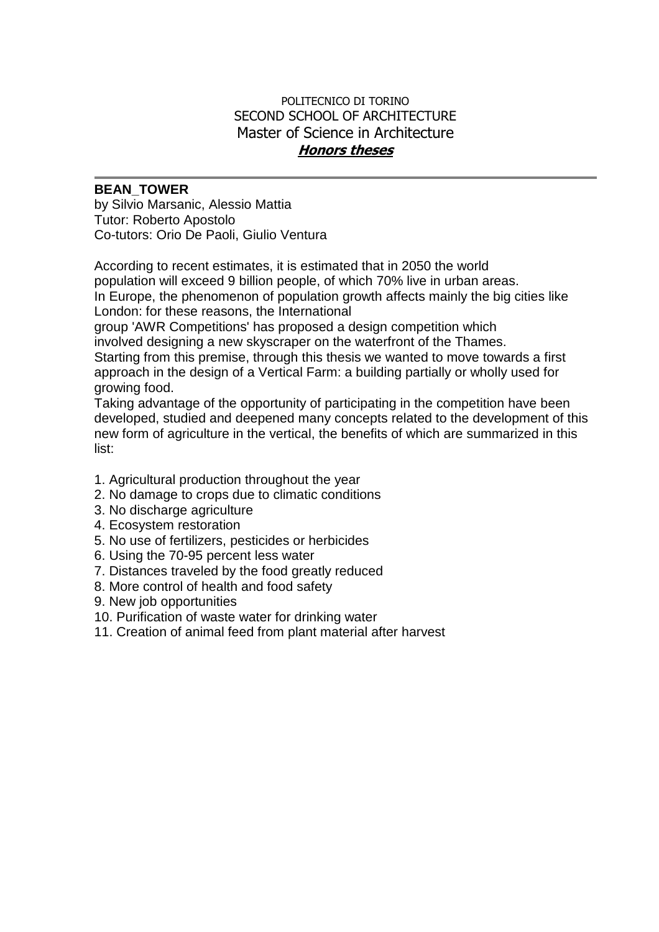## POLITECNICO DI TORINO SECOND SCHOOL OF ARCHITECTURE Master of Science in Architecture **Honors theses**

## **BEAN\_TOWER**

by Silvio Marsanic, Alessio Mattia Tutor: Roberto Apostolo Co-tutors: Orio De Paoli, Giulio Ventura

According to recent estimates, it is estimated that in 2050 the world population will exceed 9 billion people, of which 70% live in urban areas. In Europe, the phenomenon of population growth affects mainly the big cities like London: for these reasons, the International

group 'AWR Competitions' has proposed a design competition which

involved designing a new skyscraper on the waterfront of the Thames. Starting from this premise, through this thesis we wanted to move towards a first approach in the design of a Vertical Farm: a building partially or wholly used for growing food.

Taking advantage of the opportunity of participating in the competition have been developed, studied and deepened many concepts related to the development of this new form of agriculture in the vertical, the benefits of which are summarized in this list:

- 1. Agricultural production throughout the year
- 2. No damage to crops due to climatic conditions
- 3. No discharge agriculture
- 4. Ecosystem restoration
- 5. No use of fertilizers, pesticides or herbicides
- 6. Using the 70-95 percent less water
- 7. Distances traveled by the food greatly reduced
- 8. More control of health and food safety
- 9. New job opportunities
- 10. Purification of waste water for drinking water
- 11. Creation of animal feed from plant material after harvest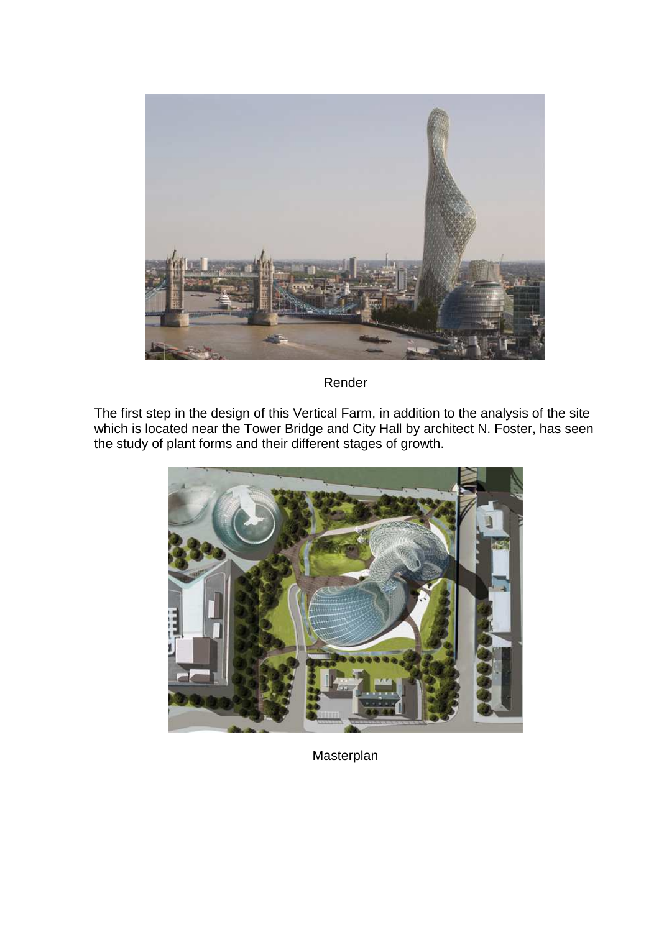

Render

The first step in the design of this Vertical Farm, in addition to the analysis of the site which is located near the Tower Bridge and City Hall by architect N. Foster, has seen the study of plant forms and their different stages of growth.



Masterplan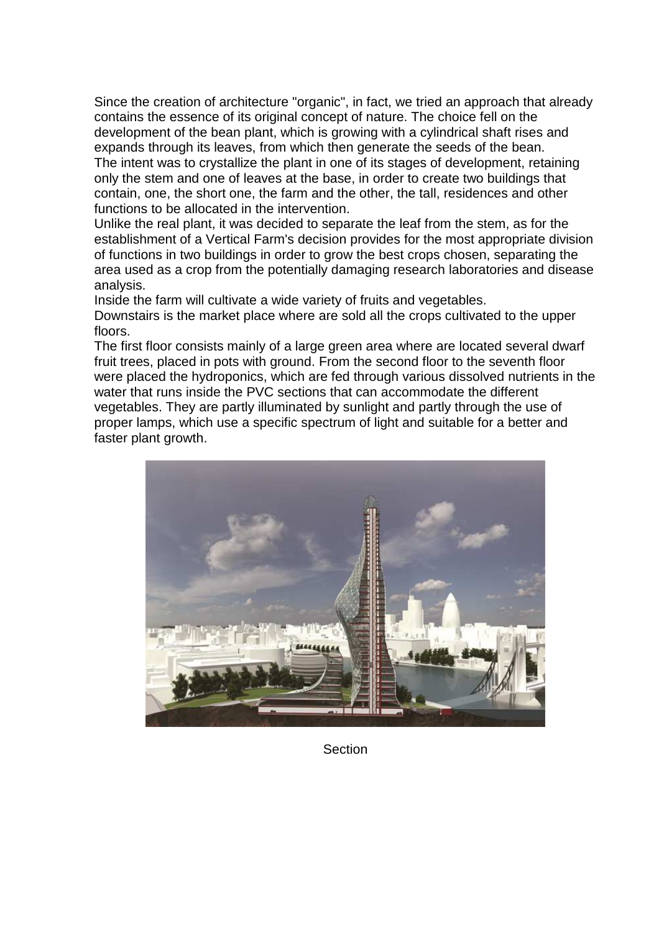Since the creation of architecture "organic", in fact, we tried an approach that already contains the essence of its original concept of nature. The choice fell on the development of the bean plant, which is growing with a cylindrical shaft rises and expands through its leaves, from which then generate the seeds of the bean.

The intent was to crystallize the plant in one of its stages of development, retaining only the stem and one of leaves at the base, in order to create two buildings that contain, one, the short one, the farm and the other, the tall, residences and other functions to be allocated in the intervention.

Unlike the real plant, it was decided to separate the leaf from the stem, as for the establishment of a Vertical Farm's decision provides for the most appropriate division of functions in two buildings in order to grow the best crops chosen, separating the area used as a crop from the potentially damaging research laboratories and disease analysis.

Inside the farm will cultivate a wide variety of fruits and vegetables.

Downstairs is the market place where are sold all the crops cultivated to the upper floors.

The first floor consists mainly of a large green area where are located several dwarf fruit trees, placed in pots with ground. From the second floor to the seventh floor were placed the hydroponics, which are fed through various dissolved nutrients in the water that runs inside the PVC sections that can accommodate the different vegetables. They are partly illuminated by sunlight and partly through the use of proper lamps, which use a specific spectrum of light and suitable for a better and faster plant growth.



**Section**